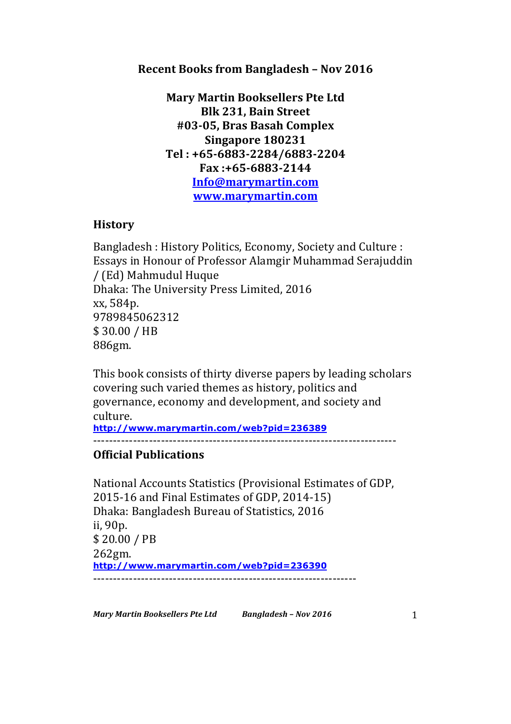## **Recent Books from Bangladesh - Nov 2016**

**Mary Martin Booksellers Pte Ltd Blk 231, Bain Street #03-05, Bras Basah Complex Singapore 180231 Tel : +65-6883-2284/6883-2204 Fax :+65-6883-2144 Info@marymartin.com www.marymartin.com**

## **History**

Bangladesh: History Politics, Economy, Society and Culture : Essays in Honour of Professor Alamgir Muhammad Serajuddin / (Ed) Mahmudul Huque Dhaka: The University Press Limited, 2016 xx, 584p. 9789845062312 \$ 30.00 / HB 886gm.

This book consists of thirty diverse papers by leading scholars covering such varied themes as history, politics and governance, economy and development, and society and culture.

**http://www.marymartin.com/web?pid=236389** ----------------------------------------------------------------------------

## **Official Publications**

National Accounts Statistics (Provisional Estimates of GDP, 2015-16 and Final Estimates of GDP, 2014-15) Dhaka: Bangladesh Bureau of Statistics, 2016 ii, 90p. \$ 20.00 / PB 262gm. **http://www.marymartin.com/web?pid=236390** ------------------------------------------------------------------

*Mary Martin Booksellers Pte Ltd Bangladesh – Nov 2016* 1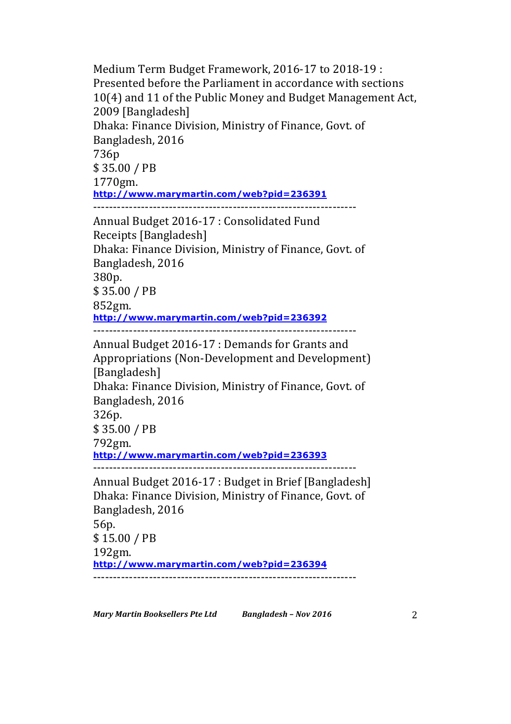Medium Term Budget Framework, 2016-17 to 2018-19 : Presented before the Parliament in accordance with sections 10(4) and 11 of the Public Money and Budget Management Act, 2009 [Bangladesh] Dhaka: Finance Division, Ministry of Finance, Govt. of Bangladesh, 2016 736p \$ 35.00 / PB 1770gm. **http://www.marymartin.com/web?pid=236391** ------------------------------------------------------------------ Annual Budget 2016-17 : Consolidated Fund Receipts [Bangladesh] Dhaka: Finance Division, Ministry of Finance, Govt. of Bangladesh, 2016 380p. \$ 35.00 / PB 852gm. **http://www.marymartin.com/web?pid=236392** ------------------------------------------------------------------ Annual Budget 2016-17 : Demands for Grants and Appropriations (Non-Development and Development) [Bangladesh] Dhaka: Finance Division, Ministry of Finance, Govt. of Bangladesh, 2016 326p. \$ 35.00 / PB 792gm. **http://www.marymartin.com/web?pid=236393** ------------------------------------------------------------------ Annual Budget 2016-17 : Budget in Brief [Bangladesh] Dhaka: Finance Division, Ministry of Finance, Govt. of Bangladesh, 2016 56p. \$ 15.00 / PB 192gm. **http://www.marymartin.com/web?pid=236394**

------------------------------------------------------------------

*Mary Martin Booksellers Pte Ltd Bangladesh – Nov 2016* 2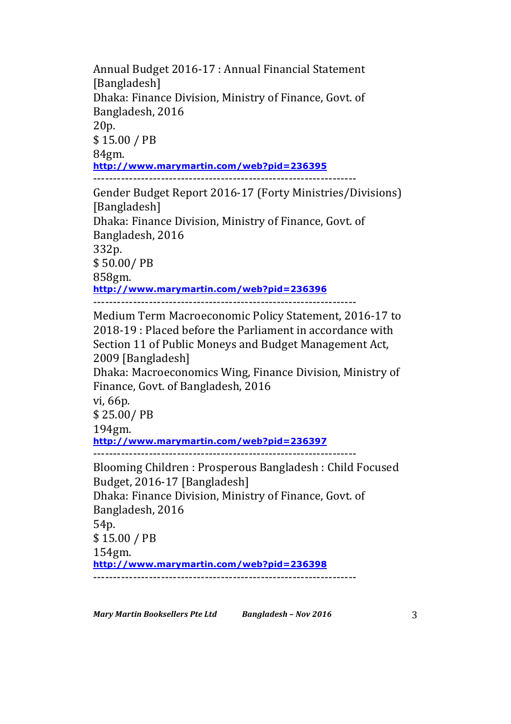Annual Budget 2016-17 : Annual Financial Statement [Bangladesh] Dhaka: Finance Division, Ministry of Finance, Govt. of Bangladesh, 2016 20p. \$ 15.00 / PB 84gm. **http://www.marymartin.com/web?pid=236395** ------------------------------------------------------------------

Gender Budget Report 2016-17 (Forty Ministries/Divisions) [Bangladesh] Dhaka: Finance Division, Ministry of Finance, Govt. of Bangladesh, 2016 332p. \$ 50.00/ PB 858gm. **http://www.marymartin.com/web?pid=236396** ------------------------------------------------------------------

Medium Term Macroeconomic Policy Statement, 2016-17 to 2018-19 : Placed before the Parliament in accordance with Section 11 of Public Moneys and Budget Management Act, 2009 [Bangladesh]

Dhaka: Macroeconomics Wing, Finance Division, Ministry of Finance, Govt. of Bangladesh, 2016

vi, 66p.

\$ 25.00/ PB

194gm.

**http://www.marymartin.com/web?pid=236397**

------------------------------------------------------------------

Blooming Children : Prosperous Bangladesh : Child Focused Budget, 2016-17 [Bangladesh] Dhaka: Finance Division, Ministry of Finance, Govt. of Bangladesh, 2016 54p. \$15.00 / PB 154gm. **http://www.marymartin.com/web?pid=236398** ------------------------------------------------------------------

*Mary Martin Booksellers Pte Ltd Bangladesh - Nov 2016* 3